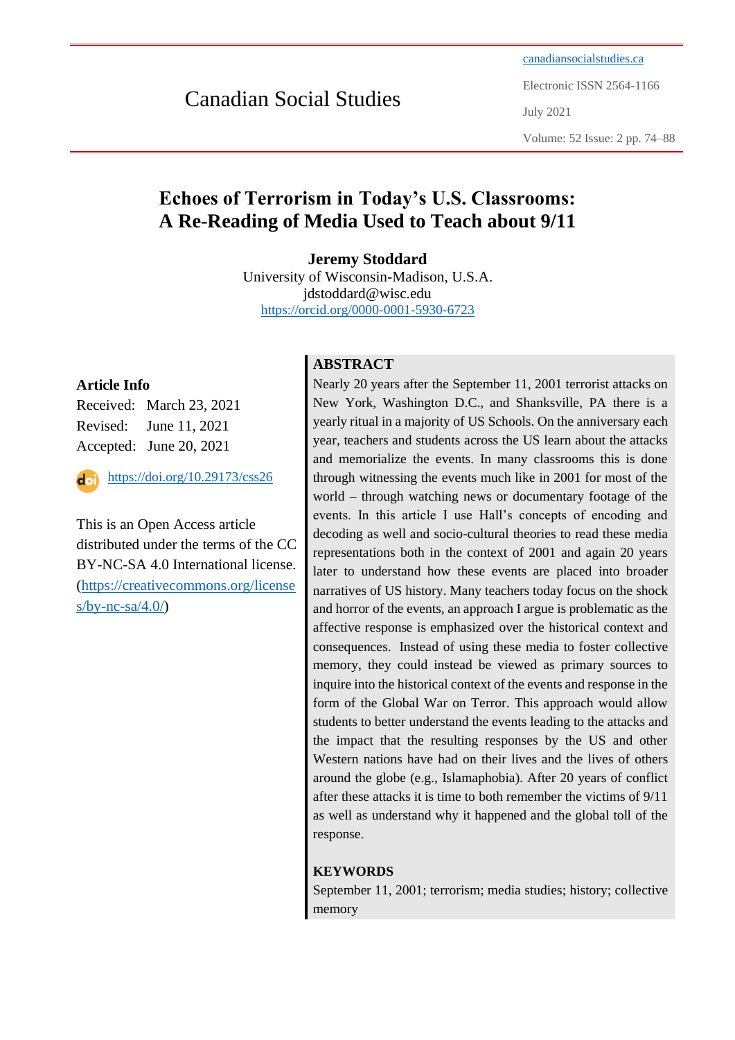# Canadian Social Studies

[canadiansocialstudies.ca](https://canadiansocialstudies.ca/) Electronic ISSN 2564-1166 July 2021 Volume: 52 Issue: 2 pp. 74–88

# **Echoes of Terrorism in Today's U.S. Classrooms: A Re-Reading of Media Used to Teach about 9/11**

**Jeremy Stoddard**

University of Wisconsin-Madison, U.S.A. jdstoddard@wisc.edu <https://orcid.org/0000-0001-5930-6723>

# **Article Info**

Received: March 23, 2021 Revised: June 11, 2021 Accepted: June 20, 2021

<https://doi.org/10.29173/css26> $\overline{\mathbf{d}}$ 

This is an Open Access article distributed under the terms of the CC BY-NC-SA 4.0 International license. [\(https://creativecommons.org/license](https://creativecommons.org/licenses/by-nc-sa/4.0/)  $s/by-nc-sa/4.0/$ 

# **ABSTRACT**

Nearly 20 years after the September 11, 2001 terrorist attacks on New York, Washington D.C., and Shanksville, PA there is a yearly ritual in a majority of US Schools. On the anniversary each year, teachers and students across the US learn about the attacks and memorialize the events. In many classrooms this is done through witnessing the events much like in 2001 for most of the world – through watching news or documentary footage of the events. In this article I use Hall's concepts of encoding and decoding as well and socio-cultural theories to read these media representations both in the context of 2001 and again 20 years later to understand how these events are placed into broader narratives of US history. Many teachers today focus on the shock and horror of the events, an approach I argue is problematic as the affective response is emphasized over the historical context and consequences. Instead of using these media to foster collective memory, they could instead be viewed as primary sources to inquire into the historical context of the events and response in the form of the Global War on Terror. This approach would allow students to better understand the events leading to the attacks and the impact that the resulting responses by the US and other Western nations have had on their lives and the lives of others around the globe (e.g., Islamaphobia). After 20 years of conflict after these attacks it is time to both remember the victims of 9/11 as well as understand why it happened and the global toll of the response.

# **KEYWORDS**

September 11, 2001; terrorism; media studies; history; collective memory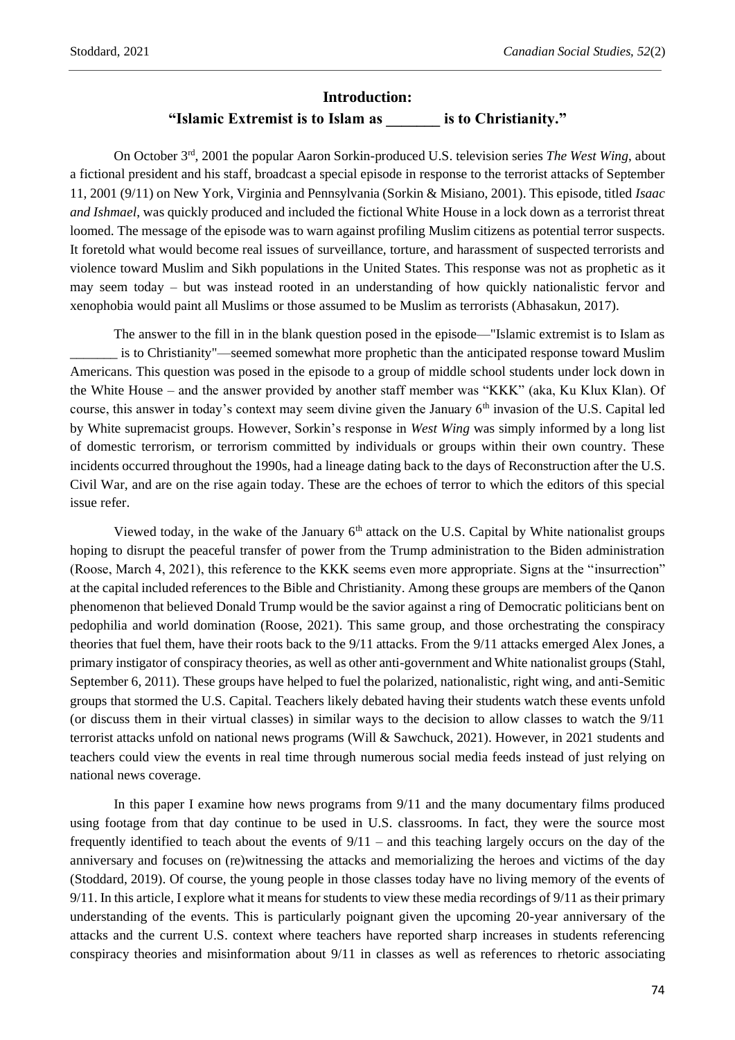#### **Introduction:**

### **"Islamic Extremist is to Islam as \_\_\_\_\_\_\_ is to Christianity."**

On October 3rd, 2001 the popular Aaron Sorkin-produced U.S. television series *The West Wing*, about a fictional president and his staff, broadcast a special episode in response to the terrorist attacks of September 11, 2001 (9/11) on New York, Virginia and Pennsylvania (Sorkin & Misiano, 2001). This episode, titled *Isaac and Ishmael*, was quickly produced and included the fictional White House in a lock down as a terrorist threat loomed. The message of the episode was to warn against profiling Muslim citizens as potential terror suspects. It foretold what would become real issues of surveillance, torture, and harassment of suspected terrorists and violence toward Muslim and Sikh populations in the United States. This response was not as prophetic as it may seem today – but was instead rooted in an understanding of how quickly nationalistic fervor and xenophobia would paint all Muslims or those assumed to be Muslim as terrorists (Abhasakun, 2017).

The answer to the fill in in the blank question posed in the episode—"Islamic extremist is to Islam as is to Christianity"—seemed somewhat more prophetic than the anticipated response toward Muslim Americans. This question was posed in the episode to a group of middle school students under lock down in the White House – and the answer provided by another staff member was "KKK" (aka, Ku Klux Klan). Of course, this answer in today's context may seem divine given the January  $6<sup>th</sup>$  invasion of the U.S. Capital led by White supremacist groups. However, Sorkin's response in *West Wing* was simply informed by a long list of domestic terrorism, or terrorism committed by individuals or groups within their own country. These incidents occurred throughout the 1990s, had a lineage dating back to the days of Reconstruction after the U.S. Civil War, and are on the rise again today. These are the echoes of terror to which the editors of this special issue refer.

Viewed today, in the wake of the January  $6<sup>th</sup>$  attack on the U.S. Capital by White nationalist groups hoping to disrupt the peaceful transfer of power from the Trump administration to the Biden administration (Roose, March 4, 2021), this reference to the KKK seems even more appropriate. Signs at the "insurrection" at the capital included references to the Bible and Christianity. Among these groups are members of the Qanon phenomenon that believed Donald Trump would be the savior against a ring of Democratic politicians bent on pedophilia and world domination (Roose, 2021). This same group, and those orchestrating the conspiracy theories that fuel them, have their roots back to the 9/11 attacks. From the 9/11 attacks emerged Alex Jones, a primary instigator of conspiracy theories, as well as other anti-government and White nationalist groups (Stahl, September 6, 2011). These groups have helped to fuel the polarized, nationalistic, right wing, and anti-Semitic groups that stormed the U.S. Capital. Teachers likely debated having their students watch these events unfold (or discuss them in their virtual classes) in similar ways to the decision to allow classes to watch the 9/11 terrorist attacks unfold on national news programs (Will & Sawchuck, 2021). However, in 2021 students and teachers could view the events in real time through numerous social media feeds instead of just relying on national news coverage.

In this paper I examine how news programs from 9/11 and the many documentary films produced using footage from that day continue to be used in U.S. classrooms. In fact, they were the source most frequently identified to teach about the events of  $9/11$  – and this teaching largely occurs on the day of the anniversary and focuses on (re)witnessing the attacks and memorializing the heroes and victims of the day (Stoddard, 2019). Of course, the young people in those classes today have no living memory of the events of 9/11. In this article, I explore what it means for students to view these media recordings of 9/11 as their primary understanding of the events. This is particularly poignant given the upcoming 20-year anniversary of the attacks and the current U.S. context where teachers have reported sharp increases in students referencing conspiracy theories and misinformation about 9/11 in classes as well as references to rhetoric associating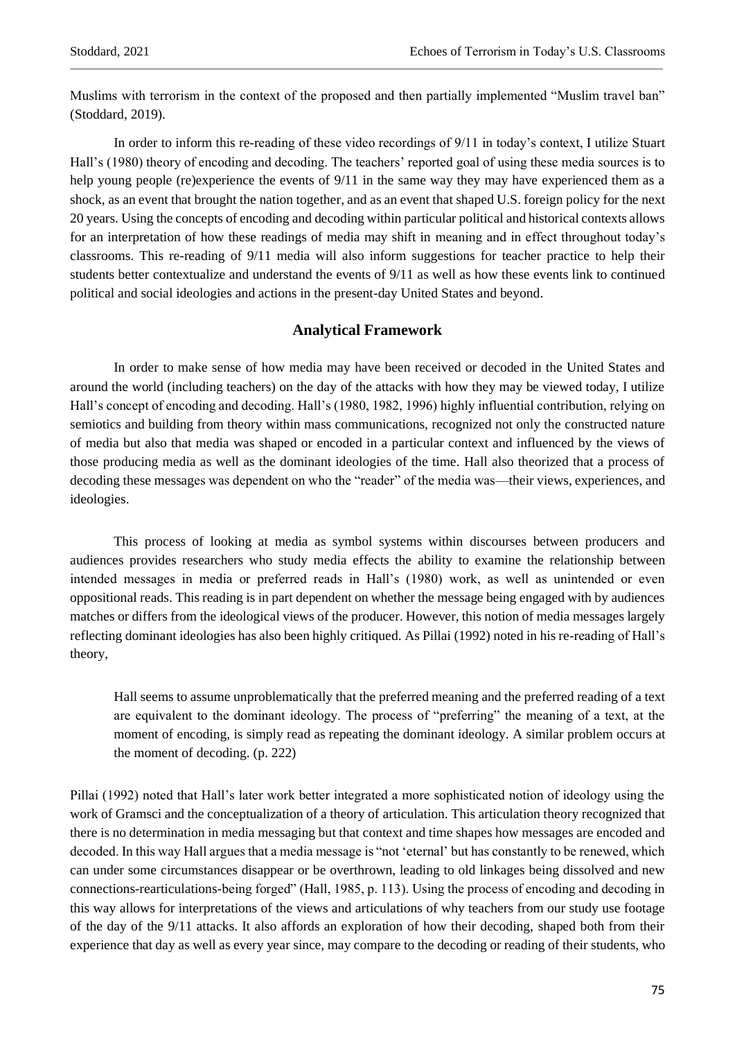Muslims with terrorism in the context of the proposed and then partially implemented "Muslim travel ban" (Stoddard, 2019).

In order to inform this re-reading of these video recordings of 9/11 in today's context, I utilize Stuart Hall's (1980) theory of encoding and decoding. The teachers' reported goal of using these media sources is to help young people (re)experience the events of 9/11 in the same way they may have experienced them as a shock, as an event that brought the nation together, and as an event that shaped U.S. foreign policy for the next 20 years. Using the concepts of encoding and decoding within particular political and historical contexts allows for an interpretation of how these readings of media may shift in meaning and in effect throughout today's classrooms. This re-reading of 9/11 media will also inform suggestions for teacher practice to help their students better contextualize and understand the events of 9/11 as well as how these events link to continued political and social ideologies and actions in the present-day United States and beyond.

## **Analytical Framework**

In order to make sense of how media may have been received or decoded in the United States and around the world (including teachers) on the day of the attacks with how they may be viewed today, I utilize Hall's concept of encoding and decoding. Hall's (1980, 1982, 1996) highly influential contribution, relying on semiotics and building from theory within mass communications, recognized not only the constructed nature of media but also that media was shaped or encoded in a particular context and influenced by the views of those producing media as well as the dominant ideologies of the time. Hall also theorized that a process of decoding these messages was dependent on who the "reader" of the media was—their views, experiences, and ideologies.

This process of looking at media as symbol systems within discourses between producers and audiences provides researchers who study media effects the ability to examine the relationship between intended messages in media or preferred reads in Hall's (1980) work, as well as unintended or even oppositional reads. This reading is in part dependent on whether the message being engaged with by audiences matches or differs from the ideological views of the producer. However, this notion of media messages largely reflecting dominant ideologies has also been highly critiqued. As Pillai (1992) noted in his re-reading of Hall's theory,

Hall seems to assume unproblematically that the preferred meaning and the preferred reading of a text are equivalent to the dominant ideology. The process of "preferring" the meaning of a text, at the moment of encoding, is simply read as repeating the dominant ideology. A similar problem occurs at the moment of decoding. (p. 222)

Pillai (1992) noted that Hall's later work better integrated a more sophisticated notion of ideology using the work of Gramsci and the conceptualization of a theory of articulation. This articulation theory recognized that there is no determination in media messaging but that context and time shapes how messages are encoded and decoded. In this way Hall argues that a media message is "not 'eternal' but has constantly to be renewed, which can under some circumstances disappear or be overthrown, leading to old linkages being dissolved and new connections-rearticulations-being forged" (Hall, 1985, p. 113). Using the process of encoding and decoding in this way allows for interpretations of the views and articulations of why teachers from our study use footage of the day of the 9/11 attacks. It also affords an exploration of how their decoding, shaped both from their experience that day as well as every year since, may compare to the decoding or reading of their students, who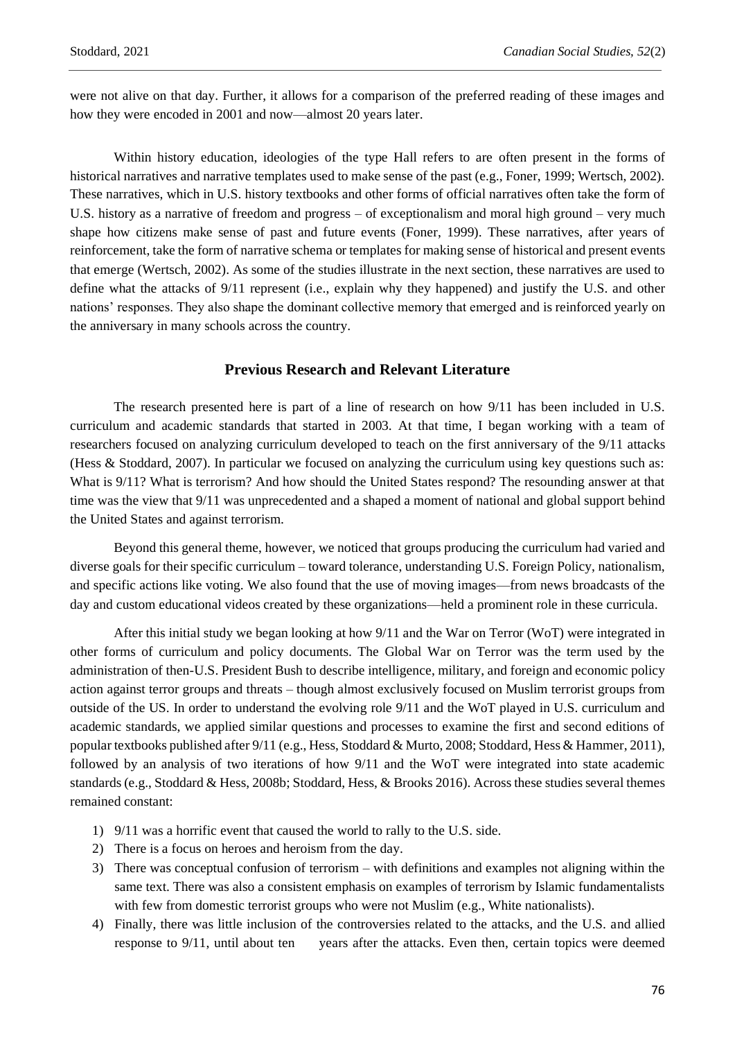were not alive on that day. Further, it allows for a comparison of the preferred reading of these images and how they were encoded in 2001 and now—almost 20 years later.

Within history education, ideologies of the type Hall refers to are often present in the forms of historical narratives and narrative templates used to make sense of the past (e.g., Foner, 1999; Wertsch, 2002). These narratives, which in U.S. history textbooks and other forms of official narratives often take the form of U.S. history as a narrative of freedom and progress – of exceptionalism and moral high ground – very much shape how citizens make sense of past and future events (Foner, 1999). These narratives, after years of reinforcement, take the form of narrative schema or templates for making sense of historical and present events that emerge (Wertsch, 2002). As some of the studies illustrate in the next section, these narratives are used to define what the attacks of 9/11 represent (i.e., explain why they happened) and justify the U.S. and other nations' responses. They also shape the dominant collective memory that emerged and is reinforced yearly on the anniversary in many schools across the country.

#### **Previous Research and Relevant Literature**

The research presented here is part of a line of research on how 9/11 has been included in U.S. curriculum and academic standards that started in 2003. At that time, I began working with a team of researchers focused on analyzing curriculum developed to teach on the first anniversary of the 9/11 attacks (Hess & Stoddard, 2007). In particular we focused on analyzing the curriculum using key questions such as: What is  $9/11$ ? What is terrorism? And how should the United States respond? The resounding answer at that time was the view that 9/11 was unprecedented and a shaped a moment of national and global support behind the United States and against terrorism.

Beyond this general theme, however, we noticed that groups producing the curriculum had varied and diverse goals for their specific curriculum – toward tolerance, understanding U.S. Foreign Policy, nationalism, and specific actions like voting. We also found that the use of moving images—from news broadcasts of the day and custom educational videos created by these organizations—held a prominent role in these curricula.

After this initial study we began looking at how 9/11 and the War on Terror (WoT) were integrated in other forms of curriculum and policy documents. The Global War on Terror was the term used by the administration of then-U.S. President Bush to describe intelligence, military, and foreign and economic policy action against terror groups and threats – though almost exclusively focused on Muslim terrorist groups from outside of the US. In order to understand the evolving role 9/11 and the WoT played in U.S. curriculum and academic standards, we applied similar questions and processes to examine the first and second editions of popular textbooks published after 9/11 (e.g., Hess, Stoddard & Murto, 2008; Stoddard, Hess & Hammer, 2011), followed by an analysis of two iterations of how 9/11 and the WoT were integrated into state academic standards (e.g., Stoddard & Hess, 2008b; Stoddard, Hess, & Brooks 2016). Across these studies several themes remained constant:

- 1) 9/11 was a horrific event that caused the world to rally to the U.S. side.
- 2) There is a focus on heroes and heroism from the day.
- 3) There was conceptual confusion of terrorism with definitions and examples not aligning within the same text. There was also a consistent emphasis on examples of terrorism by Islamic fundamentalists with few from domestic terrorist groups who were not Muslim (e.g., White nationalists).
- 4) Finally, there was little inclusion of the controversies related to the attacks, and the U.S. and allied response to 9/11, until about ten years after the attacks. Even then, certain topics were deemed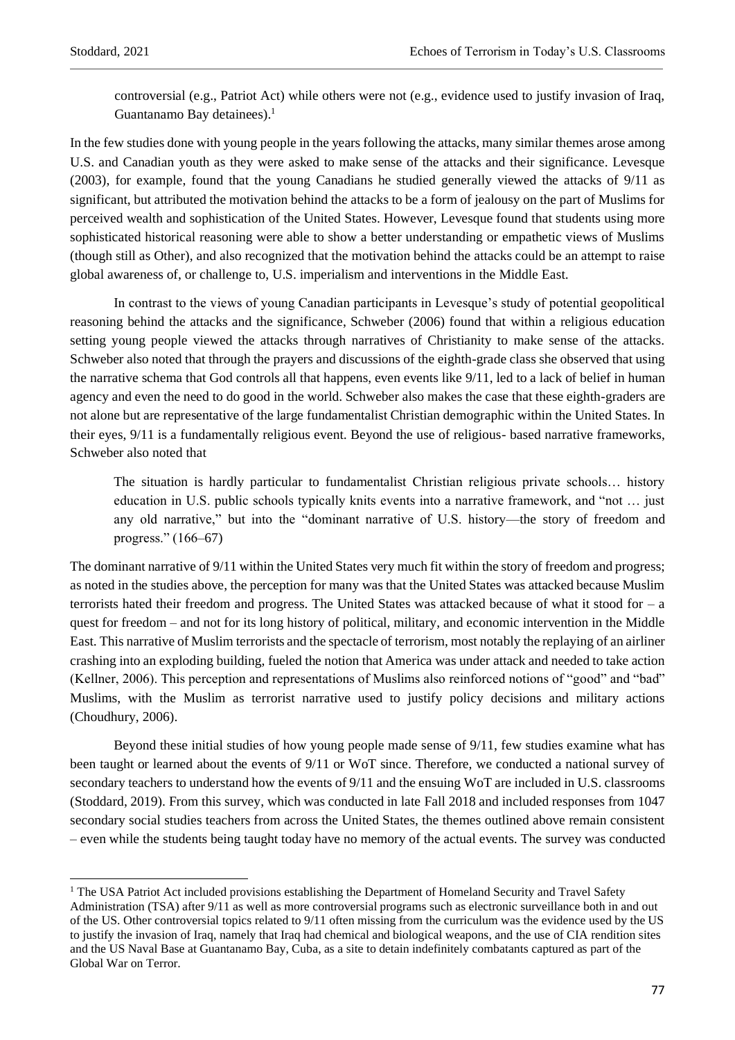controversial (e.g., Patriot Act) while others were not (e.g., evidence used to justify invasion of Iraq, Guantanamo Bay detainees).<sup>1</sup>

In the few studies done with young people in the years following the attacks, many similar themes arose among U.S. and Canadian youth as they were asked to make sense of the attacks and their significance. Levesque (2003), for example, found that the young Canadians he studied generally viewed the attacks of 9/11 as significant, but attributed the motivation behind the attacks to be a form of jealousy on the part of Muslims for perceived wealth and sophistication of the United States. However, Levesque found that students using more sophisticated historical reasoning were able to show a better understanding or empathetic views of Muslims (though still as Other), and also recognized that the motivation behind the attacks could be an attempt to raise global awareness of, or challenge to, U.S. imperialism and interventions in the Middle East.

In contrast to the views of young Canadian participants in Levesque's study of potential geopolitical reasoning behind the attacks and the significance, Schweber (2006) found that within a religious education setting young people viewed the attacks through narratives of Christianity to make sense of the attacks. Schweber also noted that through the prayers and discussions of the eighth-grade class she observed that using the narrative schema that God controls all that happens, even events like 9/11, led to a lack of belief in human agency and even the need to do good in the world. Schweber also makes the case that these eighth-graders are not alone but are representative of the large fundamentalist Christian demographic within the United States. In their eyes, 9/11 is a fundamentally religious event. Beyond the use of religious- based narrative frameworks, Schweber also noted that

The situation is hardly particular to fundamentalist Christian religious private schools… history education in U.S. public schools typically knits events into a narrative framework, and "not … just any old narrative," but into the "dominant narrative of U.S. history—the story of freedom and progress." (166–67)

The dominant narrative of 9/11 within the United States very much fit within the story of freedom and progress; as noted in the studies above, the perception for many was that the United States was attacked because Muslim terrorists hated their freedom and progress. The United States was attacked because of what it stood for – a quest for freedom – and not for its long history of political, military, and economic intervention in the Middle East. This narrative of Muslim terrorists and the spectacle of terrorism, most notably the replaying of an airliner crashing into an exploding building, fueled the notion that America was under attack and needed to take action (Kellner, 2006). This perception and representations of Muslims also reinforced notions of "good" and "bad" Muslims, with the Muslim as terrorist narrative used to justify policy decisions and military actions (Choudhury, 2006).

Beyond these initial studies of how young people made sense of 9/11, few studies examine what has been taught or learned about the events of 9/11 or WoT since. Therefore, we conducted a national survey of secondary teachers to understand how the events of 9/11 and the ensuing WoT are included in U.S. classrooms (Stoddard, 2019). From this survey, which was conducted in late Fall 2018 and included responses from 1047 secondary social studies teachers from across the United States, the themes outlined above remain consistent – even while the students being taught today have no memory of the actual events. The survey was conducted

<sup>&</sup>lt;sup>1</sup> The USA Patriot Act included provisions establishing the Department of Homeland Security and Travel Safety Administration (TSA) after 9/11 as well as more controversial programs such as electronic surveillance both in and out of the US. Other controversial topics related to 9/11 often missing from the curriculum was the evidence used by the US to justify the invasion of Iraq, namely that Iraq had chemical and biological weapons, and the use of CIA rendition sites and the US Naval Base at Guantanamo Bay, Cuba, as a site to detain indefinitely combatants captured as part of the Global War on Terror.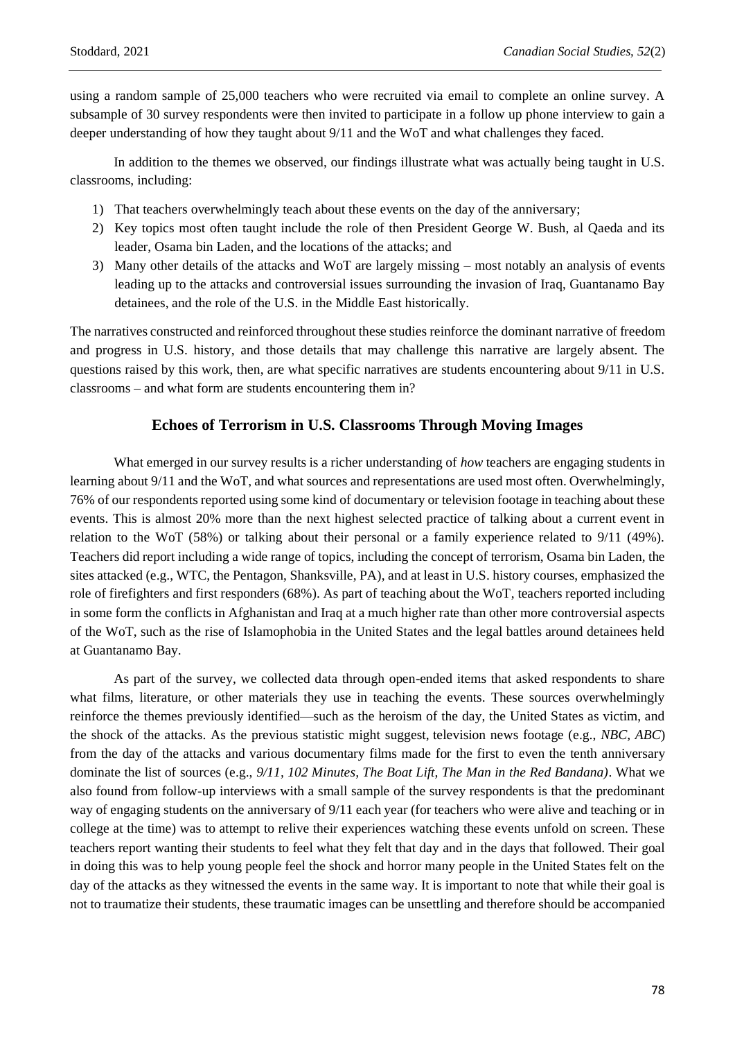using a random sample of 25,000 teachers who were recruited via email to complete an online survey. A subsample of 30 survey respondents were then invited to participate in a follow up phone interview to gain a deeper understanding of how they taught about 9/11 and the WoT and what challenges they faced.

In addition to the themes we observed, our findings illustrate what was actually being taught in U.S. classrooms, including:

- 1) That teachers overwhelmingly teach about these events on the day of the anniversary;
- 2) Key topics most often taught include the role of then President George W. Bush, al Qaeda and its leader, Osama bin Laden, and the locations of the attacks; and
- 3) Many other details of the attacks and WoT are largely missing most notably an analysis of events leading up to the attacks and controversial issues surrounding the invasion of Iraq, Guantanamo Bay detainees, and the role of the U.S. in the Middle East historically.

The narratives constructed and reinforced throughout these studies reinforce the dominant narrative of freedom and progress in U.S. history, and those details that may challenge this narrative are largely absent. The questions raised by this work, then, are what specific narratives are students encountering about 9/11 in U.S. classrooms – and what form are students encountering them in?

## **Echoes of Terrorism in U.S. Classrooms Through Moving Images**

What emerged in our survey results is a richer understanding of *how* teachers are engaging students in learning about 9/11 and the WoT, and what sources and representations are used most often. Overwhelmingly, 76% of our respondents reported using some kind of documentary or television footage in teaching about these events. This is almost 20% more than the next highest selected practice of talking about a current event in relation to the WoT (58%) or talking about their personal or a family experience related to 9/11 (49%). Teachers did report including a wide range of topics, including the concept of terrorism, Osama bin Laden, the sites attacked (e.g., WTC, the Pentagon, Shanksville, PA), and at least in U.S. history courses, emphasized the role of firefighters and first responders (68%). As part of teaching about the WoT, teachers reported including in some form the conflicts in Afghanistan and Iraq at a much higher rate than other more controversial aspects of the WoT, such as the rise of Islamophobia in the United States and the legal battles around detainees held at Guantanamo Bay.

As part of the survey, we collected data through open-ended items that asked respondents to share what films, literature, or other materials they use in teaching the events. These sources overwhelmingly reinforce the themes previously identified—such as the heroism of the day, the United States as victim, and the shock of the attacks. As the previous statistic might suggest, television news footage (e.g., *NBC, ABC*) from the day of the attacks and various documentary films made for the first to even the tenth anniversary dominate the list of sources (e.g., *9/11, 102 Minutes, The Boat Lift, The Man in the Red Bandana)*. What we also found from follow-up interviews with a small sample of the survey respondents is that the predominant way of engaging students on the anniversary of 9/11 each year (for teachers who were alive and teaching or in college at the time) was to attempt to relive their experiences watching these events unfold on screen. These teachers report wanting their students to feel what they felt that day and in the days that followed. Their goal in doing this was to help young people feel the shock and horror many people in the United States felt on the day of the attacks as they witnessed the events in the same way. It is important to note that while their goal is not to traumatize their students, these traumatic images can be unsettling and therefore should be accompanied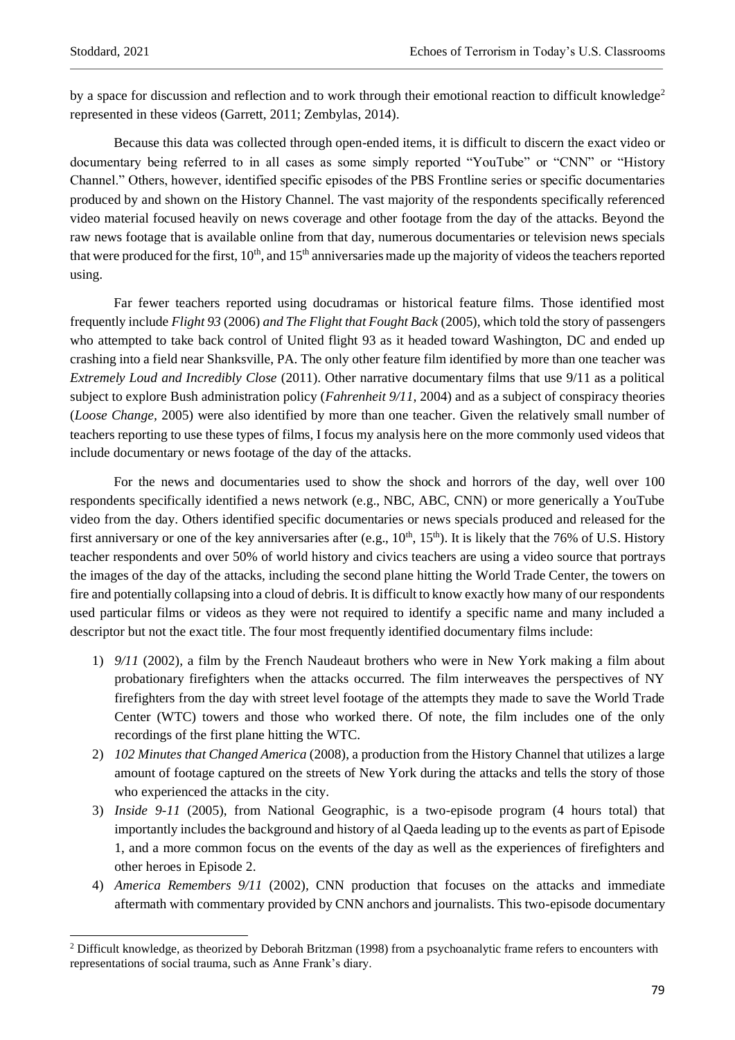by a space for discussion and reflection and to work through their emotional reaction to difficult knowledge<sup>2</sup> represented in these videos (Garrett, 2011; Zembylas, 2014).

Because this data was collected through open-ended items, it is difficult to discern the exact video or documentary being referred to in all cases as some simply reported "YouTube" or "CNN" or "History Channel." Others, however, identified specific episodes of the PBS Frontline series or specific documentaries produced by and shown on the History Channel. The vast majority of the respondents specifically referenced video material focused heavily on news coverage and other footage from the day of the attacks. Beyond the raw news footage that is available online from that day, numerous documentaries or television news specials that were produced for the first,  $10<sup>th</sup>$ , and  $15<sup>th</sup>$  anniversaries made up the majority of videos the teachers reported using.

Far fewer teachers reported using docudramas or historical feature films. Those identified most frequently include *Flight 93* (2006) *and The Flight that Fought Back* (2005), which told the story of passengers who attempted to take back control of United flight 93 as it headed toward Washington, DC and ended up crashing into a field near Shanksville, PA. The only other feature film identified by more than one teacher was *Extremely Loud and Incredibly Close* (2011). Other narrative documentary films that use 9/11 as a political subject to explore Bush administration policy (*Fahrenheit 9/11,* 2004) and as a subject of conspiracy theories (*Loose Change,* 2005) were also identified by more than one teacher. Given the relatively small number of teachers reporting to use these types of films, I focus my analysis here on the more commonly used videos that include documentary or news footage of the day of the attacks.

For the news and documentaries used to show the shock and horrors of the day, well over 100 respondents specifically identified a news network (e.g., NBC, ABC, CNN) or more generically a YouTube video from the day. Others identified specific documentaries or news specials produced and released for the first anniversary or one of the key anniversaries after (e.g.,  $10^{th}$ ,  $15^{th}$ ). It is likely that the 76% of U.S. History teacher respondents and over 50% of world history and civics teachers are using a video source that portrays the images of the day of the attacks, including the second plane hitting the World Trade Center, the towers on fire and potentially collapsing into a cloud of debris. It is difficult to know exactly how many of our respondents used particular films or videos as they were not required to identify a specific name and many included a descriptor but not the exact title. The four most frequently identified documentary films include:

- 1) *9/11* (2002), a film by the French Naudeaut brothers who were in New York making a film about probationary firefighters when the attacks occurred. The film interweaves the perspectives of NY firefighters from the day with street level footage of the attempts they made to save the World Trade Center (WTC) towers and those who worked there. Of note, the film includes one of the only recordings of the first plane hitting the WTC.
- 2) *102 Minutes that Changed America* (2008), a production from the History Channel that utilizes a large amount of footage captured on the streets of New York during the attacks and tells the story of those who experienced the attacks in the city.
- 3) *Inside 9-11* (2005), from National Geographic, is a two-episode program (4 hours total) that importantly includes the background and history of al Qaeda leading up to the events as part of Episode 1, and a more common focus on the events of the day as well as the experiences of firefighters and other heroes in Episode 2.
- 4) *America Remembers 9/11* (2002)*,* CNN production that focuses on the attacks and immediate aftermath with commentary provided by CNN anchors and journalists. This two-episode documentary

<sup>&</sup>lt;sup>2</sup> Difficult knowledge, as theorized by Deborah Britzman (1998) from a psychoanalytic frame refers to encounters with representations of social trauma, such as Anne Frank's diary.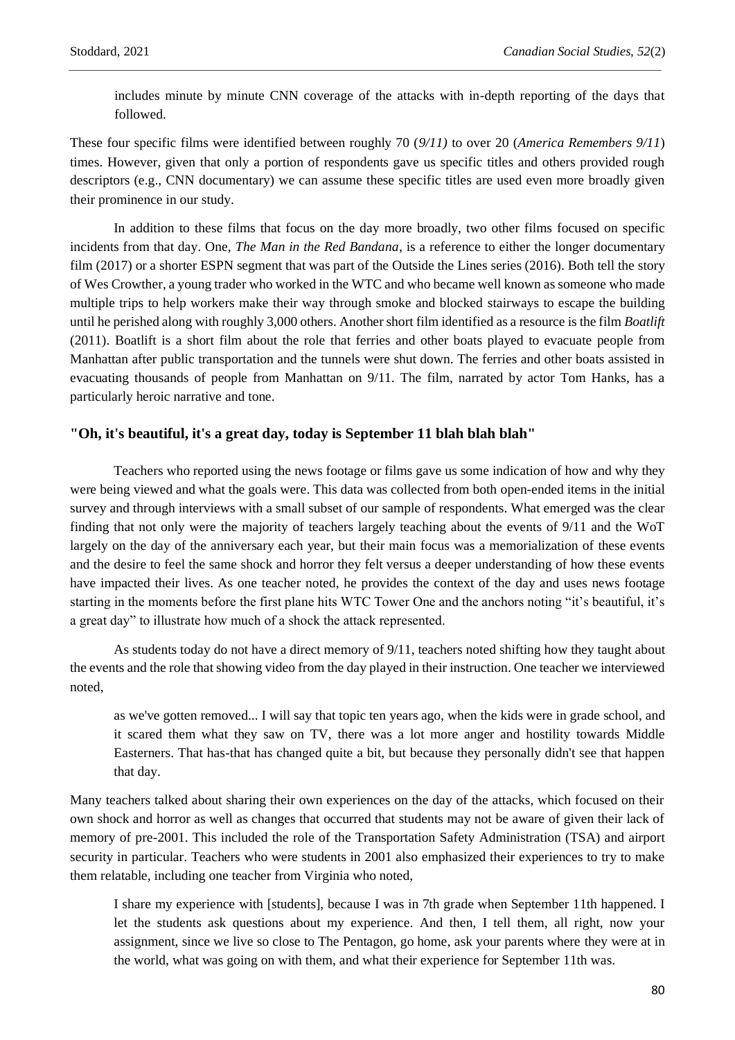includes minute by minute CNN coverage of the attacks with in-depth reporting of the days that followed.

These four specific films were identified between roughly 70 (*9/11)* to over 20 (*America Remembers 9/11*) times. However, given that only a portion of respondents gave us specific titles and others provided rough descriptors (e.g., CNN documentary) we can assume these specific titles are used even more broadly given their prominence in our study.

In addition to these films that focus on the day more broadly, two other films focused on specific incidents from that day. One, *The Man in the Red Bandana*, is a reference to either the longer documentary film (2017) or a shorter ESPN segment that was part of the Outside the Lines series (2016). Both tell the story of Wes Crowther, a young trader who worked in the WTC and who became well known as someone who made multiple trips to help workers make their way through smoke and blocked stairways to escape the building until he perished along with roughly 3,000 others. Another short film identified as a resource is the film *Boatlift* (2011). Boatlift is a short film about the role that ferries and other boats played to evacuate people from Manhattan after public transportation and the tunnels were shut down. The ferries and other boats assisted in evacuating thousands of people from Manhattan on 9/11. The film, narrated by actor Tom Hanks, has a particularly heroic narrative and tone.

#### **"Oh, it's beautiful, it's a great day, today is September 11 blah blah blah"**

Teachers who reported using the news footage or films gave us some indication of how and why they were being viewed and what the goals were. This data was collected from both open-ended items in the initial survey and through interviews with a small subset of our sample of respondents. What emerged was the clear finding that not only were the majority of teachers largely teaching about the events of 9/11 and the WoT largely on the day of the anniversary each year, but their main focus was a memorialization of these events and the desire to feel the same shock and horror they felt versus a deeper understanding of how these events have impacted their lives. As one teacher noted, he provides the context of the day and uses news footage starting in the moments before the first plane hits WTC Tower One and the anchors noting "it's beautiful, it's a great day" to illustrate how much of a shock the attack represented.

As students today do not have a direct memory of 9/11, teachers noted shifting how they taught about the events and the role that showing video from the day played in their instruction. One teacher we interviewed noted,

as we've gotten removed... I will say that topic ten years ago, when the kids were in grade school, and it scared them what they saw on TV, there was a lot more anger and hostility towards Middle Easterners. That has-that has changed quite a bit, but because they personally didn't see that happen that day.

Many teachers talked about sharing their own experiences on the day of the attacks, which focused on their own shock and horror as well as changes that occurred that students may not be aware of given their lack of memory of pre-2001. This included the role of the Transportation Safety Administration (TSA) and airport security in particular. Teachers who were students in 2001 also emphasized their experiences to try to make them relatable, including one teacher from Virginia who noted,

I share my experience with [students], because I was in 7th grade when September 11th happened. I let the students ask questions about my experience. And then, I tell them, all right, now your assignment, since we live so close to The Pentagon, go home, ask your parents where they were at in the world, what was going on with them, and what their experience for September 11th was.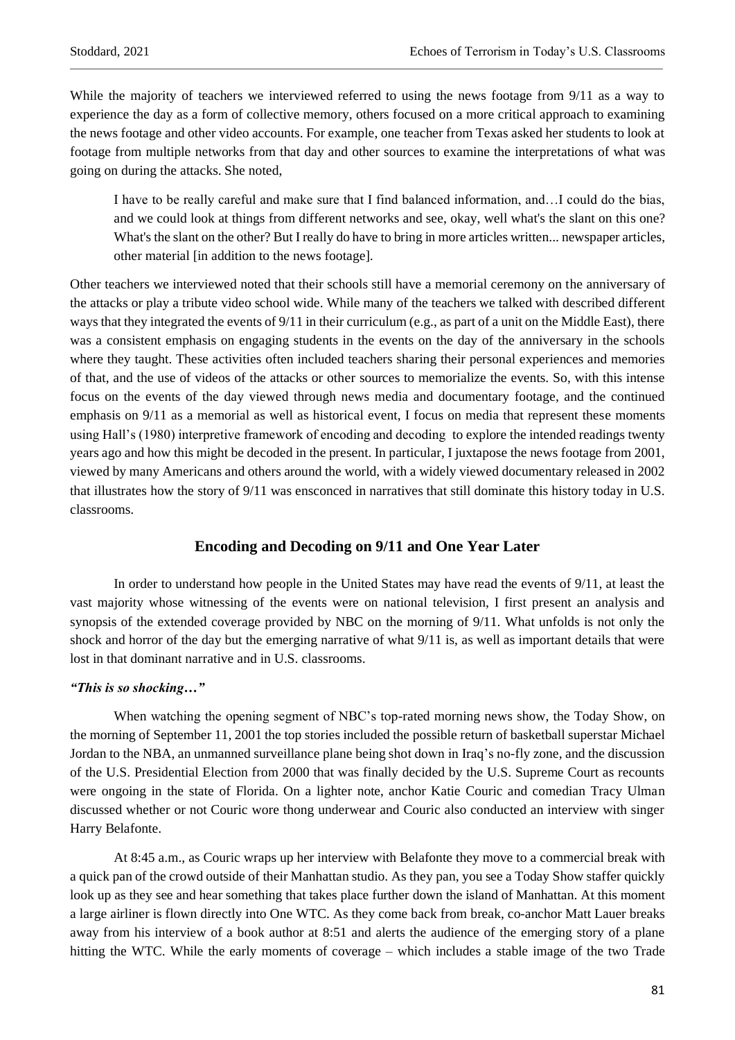While the majority of teachers we interviewed referred to using the news footage from  $9/11$  as a way to experience the day as a form of collective memory, others focused on a more critical approach to examining the news footage and other video accounts. For example, one teacher from Texas asked her students to look at footage from multiple networks from that day and other sources to examine the interpretations of what was going on during the attacks. She noted,

I have to be really careful and make sure that I find balanced information, and…I could do the bias, and we could look at things from different networks and see, okay, well what's the slant on this one? What's the slant on the other? But I really do have to bring in more articles written... newspaper articles, other material [in addition to the news footage].

Other teachers we interviewed noted that their schools still have a memorial ceremony on the anniversary of the attacks or play a tribute video school wide. While many of the teachers we talked with described different ways that they integrated the events of 9/11 in their curriculum (e.g., as part of a unit on the Middle East), there was a consistent emphasis on engaging students in the events on the day of the anniversary in the schools where they taught. These activities often included teachers sharing their personal experiences and memories of that, and the use of videos of the attacks or other sources to memorialize the events. So, with this intense focus on the events of the day viewed through news media and documentary footage, and the continued emphasis on 9/11 as a memorial as well as historical event, I focus on media that represent these moments using Hall's (1980) interpretive framework of encoding and decoding to explore the intended readings twenty years ago and how this might be decoded in the present. In particular, I juxtapose the news footage from 2001, viewed by many Americans and others around the world, with a widely viewed documentary released in 2002 that illustrates how the story of 9/11 was ensconced in narratives that still dominate this history today in U.S. classrooms.

### **Encoding and Decoding on 9/11 and One Year Later**

In order to understand how people in the United States may have read the events of 9/11, at least the vast majority whose witnessing of the events were on national television, I first present an analysis and synopsis of the extended coverage provided by NBC on the morning of 9/11. What unfolds is not only the shock and horror of the day but the emerging narrative of what 9/11 is, as well as important details that were lost in that dominant narrative and in U.S. classrooms.

#### *"This is so shocking…"*

When watching the opening segment of NBC's top-rated morning news show, the Today Show, on the morning of September 11, 2001 the top stories included the possible return of basketball superstar Michael Jordan to the NBA, an unmanned surveillance plane being shot down in Iraq's no-fly zone, and the discussion of the U.S. Presidential Election from 2000 that was finally decided by the U.S. Supreme Court as recounts were ongoing in the state of Florida. On a lighter note, anchor Katie Couric and comedian Tracy Ulman discussed whether or not Couric wore thong underwear and Couric also conducted an interview with singer Harry Belafonte.

At 8:45 a.m., as Couric wraps up her interview with Belafonte they move to a commercial break with a quick pan of the crowd outside of their Manhattan studio. As they pan, you see a Today Show staffer quickly look up as they see and hear something that takes place further down the island of Manhattan. At this moment a large airliner is flown directly into One WTC. As they come back from break, co-anchor Matt Lauer breaks away from his interview of a book author at 8:51 and alerts the audience of the emerging story of a plane hitting the WTC. While the early moments of coverage – which includes a stable image of the two Trade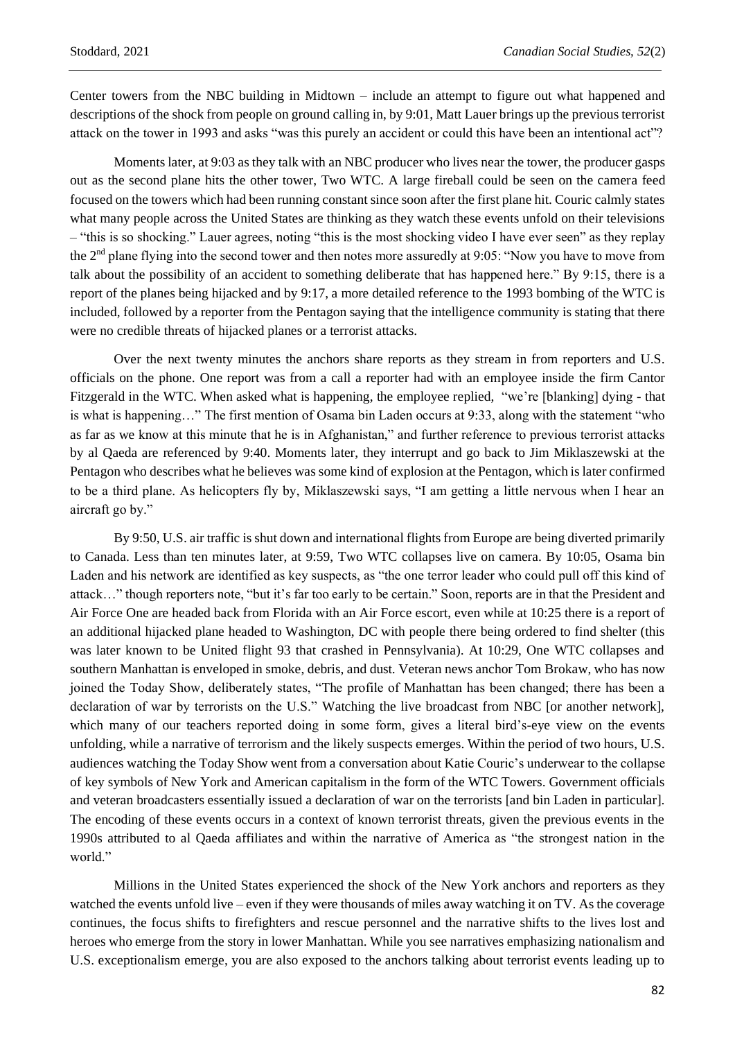Center towers from the NBC building in Midtown – include an attempt to figure out what happened and descriptions of the shock from people on ground calling in, by 9:01, Matt Lauer brings up the previous terrorist attack on the tower in 1993 and asks "was this purely an accident or could this have been an intentional act"?

Moments later, at 9:03 as they talk with an NBC producer who lives near the tower, the producer gasps out as the second plane hits the other tower, Two WTC. A large fireball could be seen on the camera feed focused on the towers which had been running constant since soon after the first plane hit. Couric calmly states what many people across the United States are thinking as they watch these events unfold on their televisions – "this is so shocking." Lauer agrees, noting "this is the most shocking video I have ever seen" as they replay the 2nd plane flying into the second tower and then notes more assuredly at 9:05: "Now you have to move from talk about the possibility of an accident to something deliberate that has happened here." By 9:15, there is a report of the planes being hijacked and by 9:17, a more detailed reference to the 1993 bombing of the WTC is included, followed by a reporter from the Pentagon saying that the intelligence community is stating that there were no credible threats of hijacked planes or a terrorist attacks.

Over the next twenty minutes the anchors share reports as they stream in from reporters and U.S. officials on the phone. One report was from a call a reporter had with an employee inside the firm Cantor Fitzgerald in the WTC. When asked what is happening, the employee replied, "we're [blanking] dying - that is what is happening…" The first mention of Osama bin Laden occurs at 9:33, along with the statement "who as far as we know at this minute that he is in Afghanistan," and further reference to previous terrorist attacks by al Qaeda are referenced by 9:40. Moments later, they interrupt and go back to Jim Miklaszewski at the Pentagon who describes what he believes was some kind of explosion at the Pentagon, which is later confirmed to be a third plane. As helicopters fly by, Miklaszewski says, "I am getting a little nervous when I hear an aircraft go by."

By 9:50, U.S. air traffic is shut down and international flights from Europe are being diverted primarily to Canada. Less than ten minutes later, at 9:59, Two WTC collapses live on camera. By 10:05, Osama bin Laden and his network are identified as key suspects, as "the one terror leader who could pull off this kind of attack…" though reporters note, "but it's far too early to be certain." Soon, reports are in that the President and Air Force One are headed back from Florida with an Air Force escort, even while at 10:25 there is a report of an additional hijacked plane headed to Washington, DC with people there being ordered to find shelter (this was later known to be United flight 93 that crashed in Pennsylvania). At 10:29, One WTC collapses and southern Manhattan is enveloped in smoke, debris, and dust. Veteran news anchor Tom Brokaw, who has now joined the Today Show, deliberately states, "The profile of Manhattan has been changed; there has been a declaration of war by terrorists on the U.S." Watching the live broadcast from NBC [or another network], which many of our teachers reported doing in some form, gives a literal bird's-eye view on the events unfolding, while a narrative of terrorism and the likely suspects emerges. Within the period of two hours, U.S. audiences watching the Today Show went from a conversation about Katie Couric's underwear to the collapse of key symbols of New York and American capitalism in the form of the WTC Towers. Government officials and veteran broadcasters essentially issued a declaration of war on the terrorists [and bin Laden in particular]. The encoding of these events occurs in a context of known terrorist threats, given the previous events in the 1990s attributed to al Qaeda affiliates and within the narrative of America as "the strongest nation in the world."

Millions in the United States experienced the shock of the New York anchors and reporters as they watched the events unfold live – even if they were thousands of miles away watching it on TV. As the coverage continues, the focus shifts to firefighters and rescue personnel and the narrative shifts to the lives lost and heroes who emerge from the story in lower Manhattan. While you see narratives emphasizing nationalism and U.S. exceptionalism emerge, you are also exposed to the anchors talking about terrorist events leading up to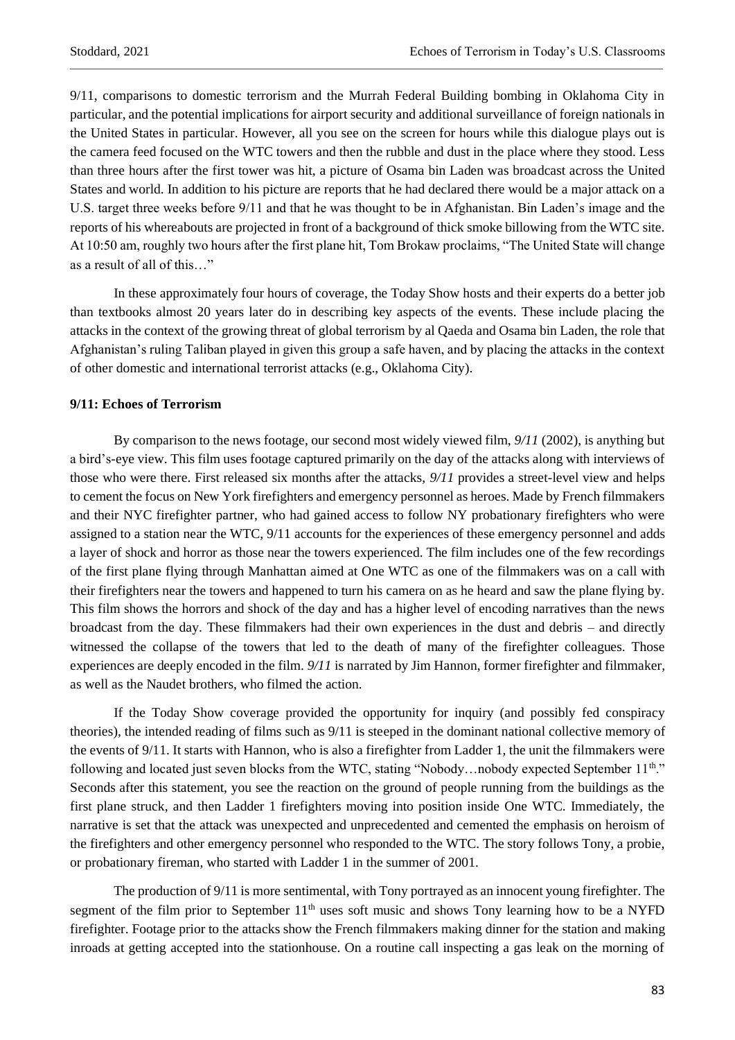9/11, comparisons to domestic terrorism and the Murrah Federal Building bombing in Oklahoma City in particular, and the potential implications for airport security and additional surveillance of foreign nationals in the United States in particular. However, all you see on the screen for hours while this dialogue plays out is the camera feed focused on the WTC towers and then the rubble and dust in the place where they stood. Less than three hours after the first tower was hit, a picture of Osama bin Laden was broadcast across the United States and world. In addition to his picture are reports that he had declared there would be a major attack on a U.S. target three weeks before 9/11 and that he was thought to be in Afghanistan. Bin Laden's image and the reports of his whereabouts are projected in front of a background of thick smoke billowing from the WTC site. At 10:50 am, roughly two hours after the first plane hit, Tom Brokaw proclaims, "The United State will change as a result of all of this…"

In these approximately four hours of coverage, the Today Show hosts and their experts do a better job than textbooks almost 20 years later do in describing key aspects of the events. These include placing the attacks in the context of the growing threat of global terrorism by al Qaeda and Osama bin Laden, the role that Afghanistan's ruling Taliban played in given this group a safe haven, and by placing the attacks in the context of other domestic and international terrorist attacks (e.g., Oklahoma City).

#### **9/11: Echoes of Terrorism**

By comparison to the news footage, our second most widely viewed film, *9/11* (2002), is anything but a bird's-eye view. This film uses footage captured primarily on the day of the attacks along with interviews of those who were there. First released six months after the attacks, *9/11* provides a street-level view and helps to cement the focus on New York firefighters and emergency personnel as heroes. Made by French filmmakers and their NYC firefighter partner, who had gained access to follow NY probationary firefighters who were assigned to a station near the WTC, 9/11 accounts for the experiences of these emergency personnel and adds a layer of shock and horror as those near the towers experienced. The film includes one of the few recordings of the first plane flying through Manhattan aimed at One WTC as one of the filmmakers was on a call with their firefighters near the towers and happened to turn his camera on as he heard and saw the plane flying by. This film shows the horrors and shock of the day and has a higher level of encoding narratives than the news broadcast from the day. These filmmakers had their own experiences in the dust and debris – and directly witnessed the collapse of the towers that led to the death of many of the firefighter colleagues. Those experiences are deeply encoded in the film. *9/11* is narrated by Jim Hannon, former firefighter and filmmaker, as well as the Naudet brothers, who filmed the action.

If the Today Show coverage provided the opportunity for inquiry (and possibly fed conspiracy theories), the intended reading of films such as 9/11 is steeped in the dominant national collective memory of the events of 9/11. It starts with Hannon, who is also a firefighter from Ladder 1, the unit the filmmakers were following and located just seven blocks from the WTC, stating "Nobody...nobody expected September 11<sup>th</sup>." Seconds after this statement, you see the reaction on the ground of people running from the buildings as the first plane struck, and then Ladder 1 firefighters moving into position inside One WTC. Immediately, the narrative is set that the attack was unexpected and unprecedented and cemented the emphasis on heroism of the firefighters and other emergency personnel who responded to the WTC. The story follows Tony, a probie, or probationary fireman, who started with Ladder 1 in the summer of 2001.

The production of 9/11 is more sentimental, with Tony portrayed as an innocent young firefighter. The segment of the film prior to September 11<sup>th</sup> uses soft music and shows Tony learning how to be a NYFD firefighter. Footage prior to the attacks show the French filmmakers making dinner for the station and making inroads at getting accepted into the stationhouse. On a routine call inspecting a gas leak on the morning of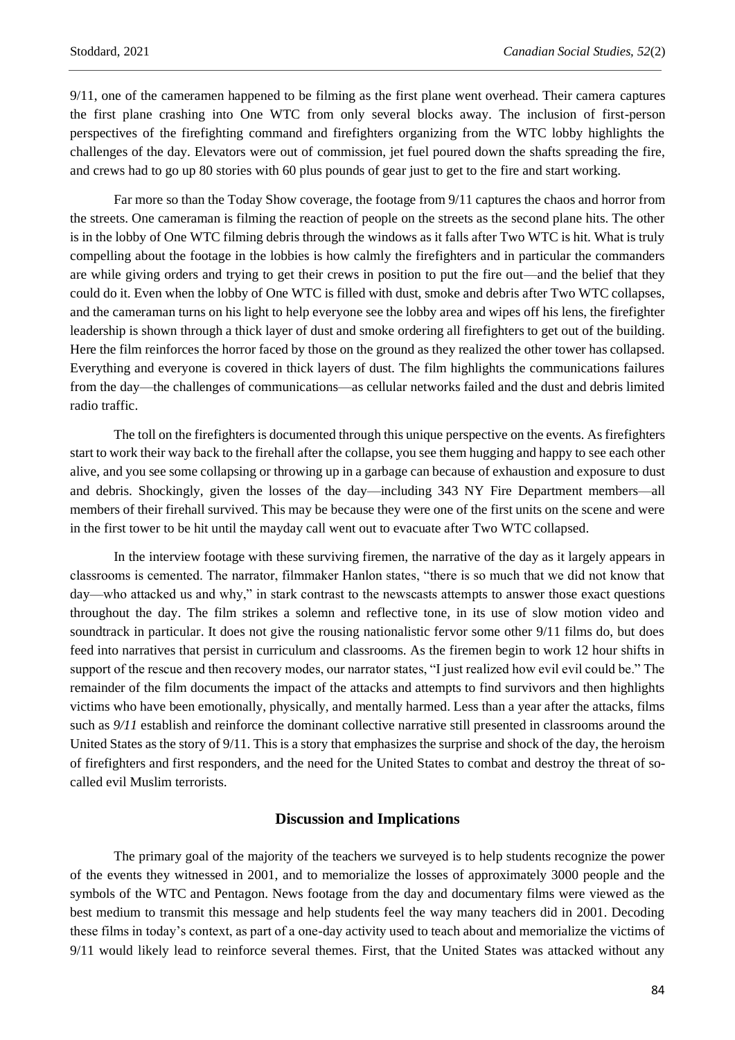9/11, one of the cameramen happened to be filming as the first plane went overhead. Their camera captures the first plane crashing into One WTC from only several blocks away. The inclusion of first-person perspectives of the firefighting command and firefighters organizing from the WTC lobby highlights the challenges of the day. Elevators were out of commission, jet fuel poured down the shafts spreading the fire, and crews had to go up 80 stories with 60 plus pounds of gear just to get to the fire and start working.

Far more so than the Today Show coverage, the footage from 9/11 captures the chaos and horror from the streets. One cameraman is filming the reaction of people on the streets as the second plane hits. The other is in the lobby of One WTC filming debris through the windows as it falls after Two WTC is hit. What is truly compelling about the footage in the lobbies is how calmly the firefighters and in particular the commanders are while giving orders and trying to get their crews in position to put the fire out—and the belief that they could do it. Even when the lobby of One WTC is filled with dust, smoke and debris after Two WTC collapses, and the cameraman turns on his light to help everyone see the lobby area and wipes off his lens, the firefighter leadership is shown through a thick layer of dust and smoke ordering all firefighters to get out of the building. Here the film reinforces the horror faced by those on the ground as they realized the other tower has collapsed. Everything and everyone is covered in thick layers of dust. The film highlights the communications failures from the day—the challenges of communications—as cellular networks failed and the dust and debris limited radio traffic.

The toll on the firefighters is documented through this unique perspective on the events. As firefighters start to work their way back to the firehall after the collapse, you see them hugging and happy to see each other alive, and you see some collapsing or throwing up in a garbage can because of exhaustion and exposure to dust and debris. Shockingly, given the losses of the day—including 343 NY Fire Department members—all members of their firehall survived. This may be because they were one of the first units on the scene and were in the first tower to be hit until the mayday call went out to evacuate after Two WTC collapsed.

In the interview footage with these surviving firemen, the narrative of the day as it largely appears in classrooms is cemented. The narrator, filmmaker Hanlon states, "there is so much that we did not know that day—who attacked us and why," in stark contrast to the newscasts attempts to answer those exact questions throughout the day. The film strikes a solemn and reflective tone, in its use of slow motion video and soundtrack in particular. It does not give the rousing nationalistic fervor some other 9/11 films do, but does feed into narratives that persist in curriculum and classrooms. As the firemen begin to work 12 hour shifts in support of the rescue and then recovery modes, our narrator states, "I just realized how evil evil could be." The remainder of the film documents the impact of the attacks and attempts to find survivors and then highlights victims who have been emotionally, physically, and mentally harmed. Less than a year after the attacks, films such as  $9/11$  establish and reinforce the dominant collective narrative still presented in classrooms around the United States as the story of 9/11. This is a story that emphasizes the surprise and shock of the day, the heroism of firefighters and first responders, and the need for the United States to combat and destroy the threat of socalled evil Muslim terrorists.

# **Discussion and Implications**

The primary goal of the majority of the teachers we surveyed is to help students recognize the power of the events they witnessed in 2001, and to memorialize the losses of approximately 3000 people and the symbols of the WTC and Pentagon. News footage from the day and documentary films were viewed as the best medium to transmit this message and help students feel the way many teachers did in 2001. Decoding these films in today's context, as part of a one-day activity used to teach about and memorialize the victims of 9/11 would likely lead to reinforce several themes. First, that the United States was attacked without any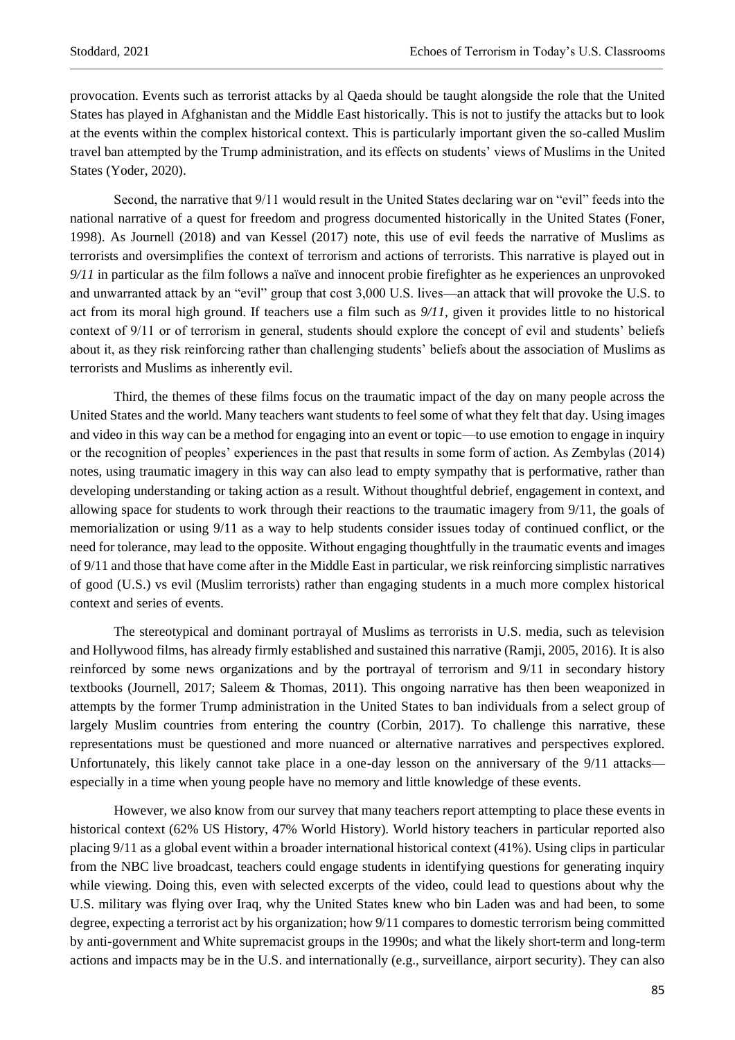provocation. Events such as terrorist attacks by al Qaeda should be taught alongside the role that the United States has played in Afghanistan and the Middle East historically. This is not to justify the attacks but to look at the events within the complex historical context. This is particularly important given the so-called Muslim travel ban attempted by the Trump administration, and its effects on students' views of Muslims in the United States (Yoder, 2020).

Second, the narrative that 9/11 would result in the United States declaring war on "evil" feeds into the national narrative of a quest for freedom and progress documented historically in the United States (Foner, 1998). As Journell (2018) and van Kessel (2017) note, this use of evil feeds the narrative of Muslims as terrorists and oversimplifies the context of terrorism and actions of terrorists. This narrative is played out in *9/11* in particular as the film follows a naïve and innocent probie firefighter as he experiences an unprovoked and unwarranted attack by an "evil" group that cost 3,000 U.S. lives—an attack that will provoke the U.S. to act from its moral high ground. If teachers use a film such as *9/11*, given it provides little to no historical context of 9/11 or of terrorism in general, students should explore the concept of evil and students' beliefs about it, as they risk reinforcing rather than challenging students' beliefs about the association of Muslims as terrorists and Muslims as inherently evil.

Third, the themes of these films focus on the traumatic impact of the day on many people across the United States and the world. Many teachers want students to feel some of what they felt that day. Using images and video in this way can be a method for engaging into an event or topic—to use emotion to engage in inquiry or the recognition of peoples' experiences in the past that results in some form of action. As Zembylas (2014) notes, using traumatic imagery in this way can also lead to empty sympathy that is performative, rather than developing understanding or taking action as a result. Without thoughtful debrief, engagement in context, and allowing space for students to work through their reactions to the traumatic imagery from 9/11, the goals of memorialization or using 9/11 as a way to help students consider issues today of continued conflict, or the need for tolerance, may lead to the opposite. Without engaging thoughtfully in the traumatic events and images of 9/11 and those that have come after in the Middle East in particular, we risk reinforcing simplistic narratives of good (U.S.) vs evil (Muslim terrorists) rather than engaging students in a much more complex historical context and series of events.

The stereotypical and dominant portrayal of Muslims as terrorists in U.S. media, such as television and Hollywood films, has already firmly established and sustained this narrative (Ramji, 2005, 2016). It is also reinforced by some news organizations and by the portrayal of terrorism and 9/11 in secondary history textbooks (Journell, 2017; Saleem & Thomas, 2011). This ongoing narrative has then been weaponized in attempts by the former Trump administration in the United States to ban individuals from a select group of largely Muslim countries from entering the country (Corbin, 2017). To challenge this narrative, these representations must be questioned and more nuanced or alternative narratives and perspectives explored. Unfortunately, this likely cannot take place in a one-day lesson on the anniversary of the 9/11 attacks especially in a time when young people have no memory and little knowledge of these events.

However, we also know from our survey that many teachers report attempting to place these events in historical context (62% US History, 47% World History). World history teachers in particular reported also placing 9/11 as a global event within a broader international historical context (41%). Using clips in particular from the NBC live broadcast, teachers could engage students in identifying questions for generating inquiry while viewing. Doing this, even with selected excerpts of the video, could lead to questions about why the U.S. military was flying over Iraq, why the United States knew who bin Laden was and had been, to some degree, expecting a terrorist act by his organization; how 9/11 compares to domestic terrorism being committed by anti-government and White supremacist groups in the 1990s; and what the likely short-term and long-term actions and impacts may be in the U.S. and internationally (e.g., surveillance, airport security). They can also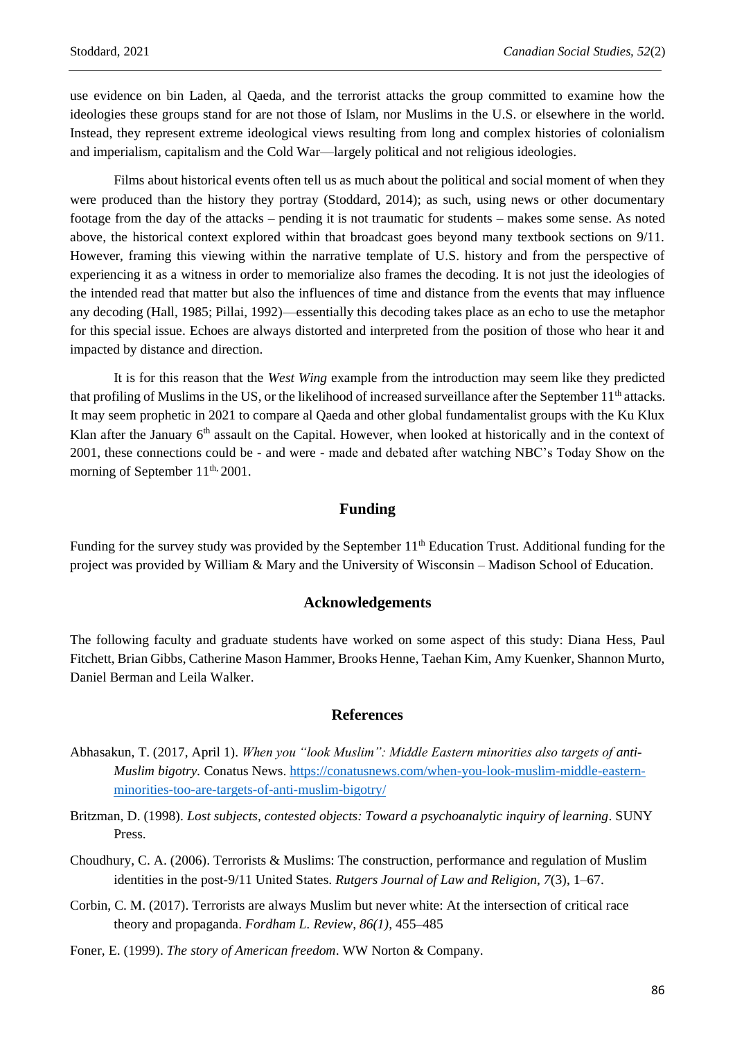use evidence on bin Laden, al Qaeda, and the terrorist attacks the group committed to examine how the ideologies these groups stand for are not those of Islam, nor Muslims in the U.S. or elsewhere in the world. Instead, they represent extreme ideological views resulting from long and complex histories of colonialism and imperialism, capitalism and the Cold War—largely political and not religious ideologies.

Films about historical events often tell us as much about the political and social moment of when they were produced than the history they portray (Stoddard, 2014); as such, using news or other documentary footage from the day of the attacks – pending it is not traumatic for students – makes some sense. As noted above, the historical context explored within that broadcast goes beyond many textbook sections on 9/11. However, framing this viewing within the narrative template of U.S. history and from the perspective of experiencing it as a witness in order to memorialize also frames the decoding. It is not just the ideologies of the intended read that matter but also the influences of time and distance from the events that may influence any decoding (Hall, 1985; Pillai, 1992)—essentially this decoding takes place as an echo to use the metaphor for this special issue. Echoes are always distorted and interpreted from the position of those who hear it and impacted by distance and direction.

It is for this reason that the *West Wing* example from the introduction may seem like they predicted that profiling of Muslims in the US, or the likelihood of increased surveillance after the September  $11<sup>th</sup>$  attacks. It may seem prophetic in 2021 to compare al Qaeda and other global fundamentalist groups with the Ku Klux Klan after the January  $6<sup>th</sup>$  assault on the Capital. However, when looked at historically and in the context of 2001, these connections could be - and were - made and debated after watching NBC's Today Show on the morning of September 11<sup>th,</sup> 2001.

# **Funding**

Funding for the survey study was provided by the September 11<sup>th</sup> Education Trust. Additional funding for the project was provided by William & Mary and the University of Wisconsin – Madison School of Education.

## **Acknowledgements**

The following faculty and graduate students have worked on some aspect of this study: Diana Hess, Paul Fitchett, Brian Gibbs, Catherine Mason Hammer, Brooks Henne, Taehan Kim, Amy Kuenker, Shannon Murto, Daniel Berman and Leila Walker.

#### **References**

- Abhasakun, T. (2017, April 1). *When you "look Muslim": Middle Eastern minorities also targets of anti-Muslim bigotry.* Conatus News[. https://conatusnews.com/when-you-look-muslim-middle-eastern](https://conatusnews.com/when-you-look-muslim-middle-eastern-minorities-too-are-targets-of-anti-muslim-bigotry/)[minorities-too-are-targets-of-anti-muslim-bigotry/](https://conatusnews.com/when-you-look-muslim-middle-eastern-minorities-too-are-targets-of-anti-muslim-bigotry/)
- Britzman, D. (1998). *Lost subjects, contested objects: Toward a psychoanalytic inquiry of learning*. SUNY Press.
- Choudhury, C. A. (2006). Terrorists & Muslims: The construction, performance and regulation of Muslim identities in the post-9/11 United States. *Rutgers Journal of Law and Religion, 7*(3), 1–67.
- Corbin, C. M. (2017). Terrorists are always Muslim but never white: At the intersection of critical race theory and propaganda. *Fordham L. Review*, *86(1)*, 455–485
- Foner, E. (1999). *The story of American freedom*. WW Norton & Company.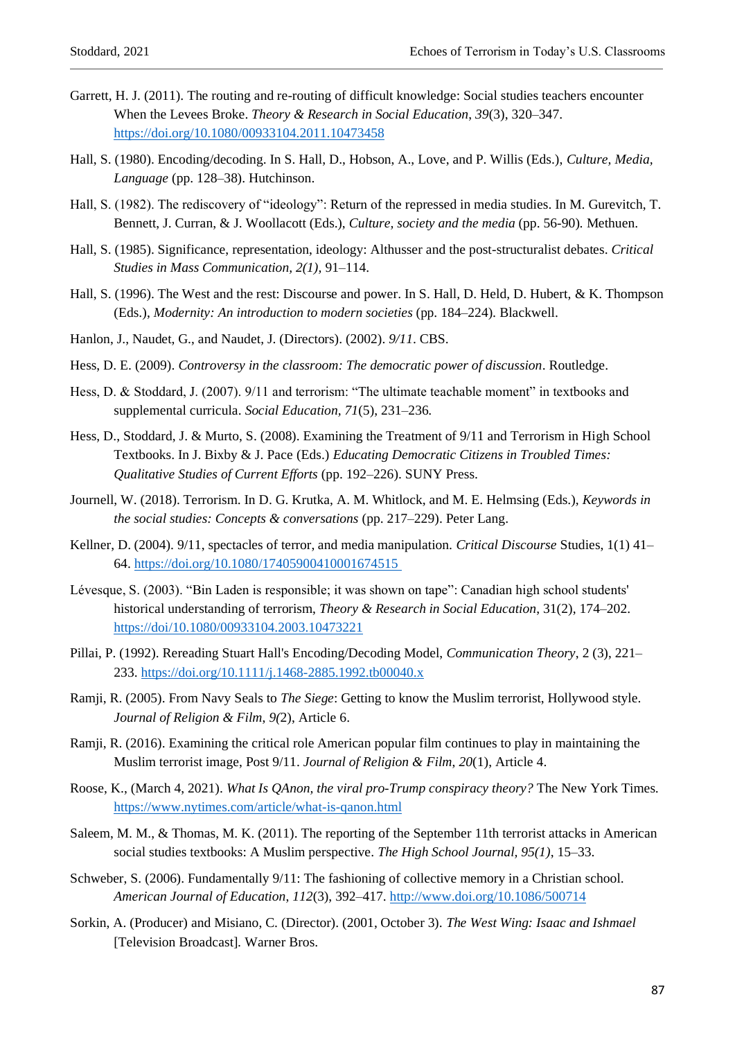- Garrett, H. J. (2011). The routing and re-routing of difficult knowledge: Social studies teachers encounter When the Levees Broke. *Theory & Research in Social Education*, *39*(3), 320–347. <https://doi.org/10.1080/00933104.2011.10473458>
- Hall, S. (1980). Encoding/decoding. In S. Hall, D., Hobson, A., Love, and P. Willis (Eds.), *Culture, Media, Language* (pp. 128–38). Hutchinson.
- Hall, S. (1982). The rediscovery of "ideology": Return of the repressed in media studies. In M. Gurevitch, T. Bennett, J. Curran, & J. Woollacott (Eds.), *Culture, society and the media* (pp. 56-90)*.* Methuen.
- Hall, S. (1985). Significance, representation, ideology: Althusser and the post-structuralist debates. *Critical Studies in Mass Communication, 2(1),* 91–114.
- Hall, S. (1996). The West and the rest: Discourse and power. In S. Hall, D. Held, D. Hubert, & K. Thompson (Eds.), *Modernity: An introduction to modern societies* (pp. 184–224)*.* Blackwell.
- Hanlon, J., Naudet, G., and Naudet, J. (Directors). (2002). *9/11*. CBS.
- Hess, D. E. (2009). *Controversy in the classroom: The democratic power of discussion*. Routledge.
- Hess, D. & Stoddard, J. (2007). 9/11 and terrorism: "The ultimate teachable moment" in textbooks and supplemental curricula. *Social Education, 71*(5), 231–236.
- Hess, D., Stoddard, J. & Murto, S. (2008). Examining the Treatment of 9/11 and Terrorism in High School Textbooks. In J. Bixby & J. Pace (Eds.) *Educating Democratic Citizens in Troubled Times: Qualitative Studies of Current Efforts* (pp. 192–226). SUNY Press.
- Journell, W. (2018). Terrorism. In D. G. Krutka, A. M. Whitlock, and M. E. Helmsing (Eds.), *Keywords in the social studies: Concepts & conversations* (pp. 217–229). Peter Lang.
- Kellner, D. (2004). 9/11, spectacles of terror, and media manipulation. *Critical Discourse* Studies, 1(1) 41– 64[. https://doi.org/10.1080/17405900410001674515](https://doi.org/10.1080/17405900410001674515)
- Lévesque, S. (2003). "Bin Laden is responsible; it was shown on tape": Canadian high school students' historical understanding of terrorism, *Theory & Research in Social Education*, 31(2), 174–202. <https://doi/10.1080/00933104.2003.10473221>
- Pillai, P. (1992). Rereading Stuart Hall's Encoding/Decoding Model, *Communication Theory*, 2 (3), 221– 233.<https://doi.org/10.1111/j.1468-2885.1992.tb00040.x>
- Ramji, R. (2005). From Navy Seals to *The Siege*: Getting to know the Muslim terrorist, Hollywood style. *Journal of Religion & Film*, *9(*2), Article 6.
- Ramji, R. (2016). Examining the critical role American popular film continues to play in maintaining the Muslim terrorist image, Post 9/11. *Journal of Religion & Film*, *20*(1), Article 4.
- Roose, K., (March 4, 2021). *What Is QAnon, the viral pro-Trump conspiracy theory?* The New York Times*.* <https://www.nytimes.com/article/what-is-qanon.html>
- Saleem, M. M., & Thomas, M. K. (2011). The reporting of the September 11th terrorist attacks in American social studies textbooks: A Muslim perspective. *The High School Journal, 95(1)*, 15–33.
- Schweber, S. (2006). Fundamentally 9/11: The fashioning of collective memory in a Christian school. *American Journal of Education*, *112*(3), 392–417. <http://www.doi.org/10.1086/500714>
- Sorkin, A. (Producer) and Misiano, C. (Director). (2001, October 3). *The West Wing: Isaac and Ishmael*  [Television Broadcast]*.* Warner Bros.